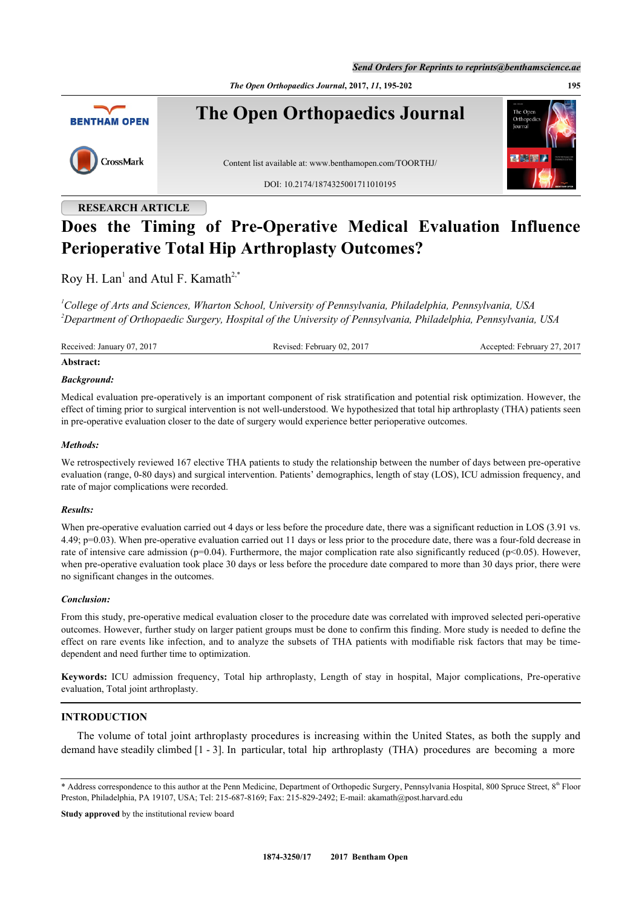*Send Orders for Reprints to reprints@benthamscience.ae*

*The Open Orthopaedics Journal***, 2017,** *11***, 195-202 195**



# **RESEARCH ARTICLE**

# **Does the Timing of Pre-Operative Medical Evaluation Influence Perioperative Total Hip Arthroplasty Outcomes?**

Roy H. Lan<sup>[1](#page-0-0)</sup> and Atul F. Kamath<sup>[2,](#page-0-1)[\\*](#page-0-2)</sup>

<span id="page-0-1"></span><span id="page-0-0"></span>*<sup>1</sup>College of Arts and Sciences, Wharton School, University of Pennsylvania, Philadelphia, Pennsylvania, USA <sup>2</sup>Department of Orthopaedic Surgery, Hospital of the University of Pennsylvania, Philadelphia, Pennsylvania, USA*

Received: January 07, 2017 Revised: February 02, 2017 Accepted: February 27, 2017

#### **Abstract:**

#### *Background:*

Medical evaluation pre-operatively is an important component of risk stratification and potential risk optimization. However, the effect of timing prior to surgical intervention is not well-understood. We hypothesized that total hip arthroplasty (THA) patients seen in pre-operative evaluation closer to the date of surgery would experience better perioperative outcomes.

#### *Methods:*

We retrospectively reviewed 167 elective THA patients to study the relationship between the number of days between pre-operative evaluation (range, 0-80 days) and surgical intervention. Patients' demographics, length of stay (LOS), ICU admission frequency, and rate of major complications were recorded.

#### *Results:*

When pre-operative evaluation carried out 4 days or less before the procedure date, there was a significant reduction in LOS (3.91 vs.) 4.49; p=0.03). When pre-operative evaluation carried out 11 days or less prior to the procedure date, there was a four-fold decrease in rate of intensive care admission ( $p=0.04$ ). Furthermore, the major complication rate also significantly reduced ( $p<0.05$ ). However, when pre-operative evaluation took place 30 days or less before the procedure date compared to more than 30 days prior, there were no significant changes in the outcomes.

#### *Conclusion:*

From this study, pre-operative medical evaluation closer to the procedure date was correlated with improved selected peri-operative outcomes. However, further study on larger patient groups must be done to confirm this finding. More study is needed to define the effect on rare events like infection, and to analyze the subsets of THA patients with modifiable risk factors that may be timedependent and need further time to optimization.

**Keywords:** ICU admission frequency, Total hip arthroplasty, Length of stay in hospital, Major complications, Pre-operative evaluation, Total joint arthroplasty.

## **INTRODUCTION**

The volume of total joint arthroplasty procedures is increasing within the United States, as both the supply and demand have steadily climbed [[1](#page-5-0) - [3](#page-5-1)]. In particular, total hip arthroplasty (THA) procedures are becoming a more

**Study approved** by the institutional review board

<span id="page-0-2"></span><sup>\*</sup> Address correspondence to this author at the Penn Medicine, Department of Orthopedic Surgery, Pennsylvania Hospital, 800 Spruce Street, 8<sup>th</sup> Floor Preston, Philadelphia, PA 19107, USA; Tel: 215-687-8169; Fax: 215-829-2492; E-mail: [akamath@post.harvard.edu](mailto:akamath@post.harvard.edu)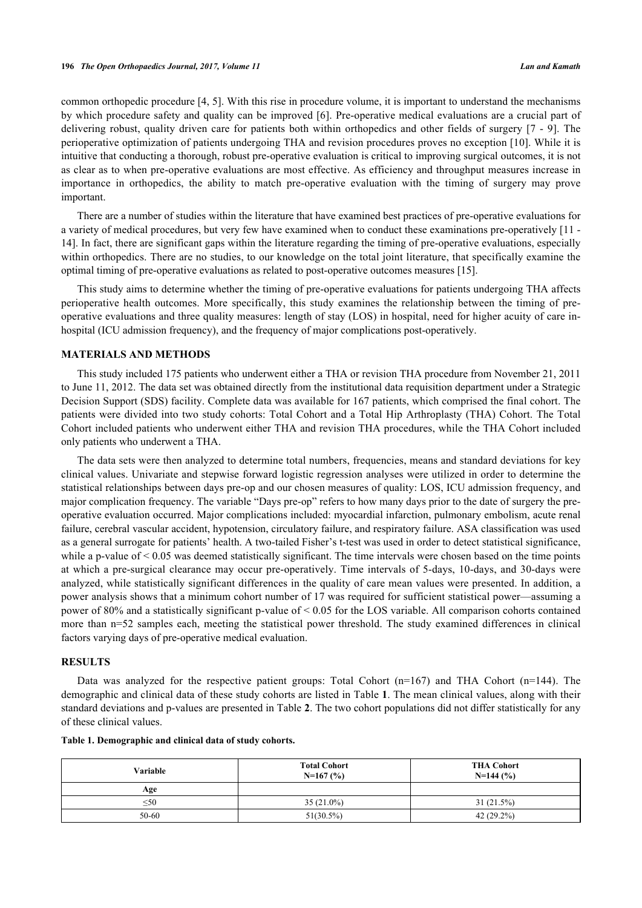common orthopedic procedure [[4,](#page-5-2) [5](#page-5-3)]. With this rise in procedure volume, it is important to understand the mechanisms by which procedure safety and quality can be improved [[6](#page-5-4)]. Pre-operative medical evaluations are a crucial part of delivering robust, quality driven care for patients both within orthopedics and other fields of surgery [[7](#page-6-0) - [9](#page-6-1)]. The perioperative optimization of patients undergoing THA and revision procedures proves no exception [[10\]](#page-6-2). While it is intuitive that conducting a thorough, robust pre-operative evaluation is critical to improving surgical outcomes, it is not as clear as to when pre-operative evaluations are most effective. As efficiency and throughput measures increase in importance in orthopedics, the ability to match pre-operative evaluation with the timing of surgery may prove important.

There are a number of studies within the literature that have examined best practices of pre-operative evaluations for a variety of medical procedures, but very few have examined when to conduct these examinations pre-operatively [[11](#page-6-3) - [14\]](#page-6-4). In fact, there are significant gaps within the literature regarding the timing of pre-operative evaluations, especially within orthopedics. There are no studies, to our knowledge on the total joint literature, that specifically examine the optimal timing of pre-operative evaluations as related to post-operative outcomes measures [\[15](#page-6-5)].

This study aims to determine whether the timing of pre-operative evaluations for patients undergoing THA affects perioperative health outcomes. More specifically, this study examines the relationship between the timing of preoperative evaluations and three quality measures: length of stay (LOS) in hospital, need for higher acuity of care inhospital (ICU admission frequency), and the frequency of major complications post-operatively.

# **MATERIALS AND METHODS**

This study included 175 patients who underwent either a THA or revision THA procedure from November 21, 2011 to June 11, 2012. The data set was obtained directly from the institutional data requisition department under a Strategic Decision Support (SDS) facility. Complete data was available for 167 patients, which comprised the final cohort. The patients were divided into two study cohorts: Total Cohort and a Total Hip Arthroplasty (THA) Cohort. The Total Cohort included patients who underwent either THA and revision THA procedures, while the THA Cohort included only patients who underwent a THA.

The data sets were then analyzed to determine total numbers, frequencies, means and standard deviations for key clinical values. Univariate and stepwise forward logistic regression analyses were utilized in order to determine the statistical relationships between days pre-op and our chosen measures of quality: LOS, ICU admission frequency, and major complication frequency. The variable "Days pre-op" refers to how many days prior to the date of surgery the preoperative evaluation occurred. Major complications included: myocardial infarction, pulmonary embolism, acute renal failure, cerebral vascular accident, hypotension, circulatory failure, and respiratory failure. ASA classification was used as a general surrogate for patients' health. A two-tailed Fisher's t-test was used in order to detect statistical significance, while a p-value of  $\leq 0.05$  was deemed statistically significant. The time intervals were chosen based on the time points at which a pre-surgical clearance may occur pre-operatively. Time intervals of 5-days, 10-days, and 30-days were analyzed, while statistically significant differences in the quality of care mean values were presented. In addition, a power analysis shows that a minimum cohort number of 17 was required for sufficient statistical power—assuming a power of 80% and a statistically significant p-value of < 0.05 for the LOS variable. All comparison cohorts contained more than n=52 samples each, meeting the statistical power threshold. The study examined differences in clinical factors varying days of pre-operative medical evaluation.

#### **RESULTS**

Data was analyzed for the respective patient groups: Total Cohort  $(n=167)$  and THA Cohort  $(n=144)$ . The demographic and clinical data of these study cohorts are listed in Table **[1](#page-1-0)**. The mean clinical values, along with their standard deviations and p-values are presented in Table **[2](#page-2-0)**. The two cohort populations did not differ statistically for any of these clinical values.

<span id="page-1-0"></span>

|  | Table 1. Demographic and clinical data of study cohorts. |  |  |
|--|----------------------------------------------------------|--|--|
|  |                                                          |  |  |

| <b>Variable</b> | <b>Total Cohort</b><br>$N=167(%)$ | <b>THA Cohort</b><br>$N=144(%)$ |  |  |  |
|-----------------|-----------------------------------|---------------------------------|--|--|--|
| Age             |                                   |                                 |  |  |  |
| $\leq 50$       | $35(21.0\%)$                      | 31(21.5%)                       |  |  |  |
| $50 - 60$       | $51(30.5\%)$                      | $42(29.2\%)$                    |  |  |  |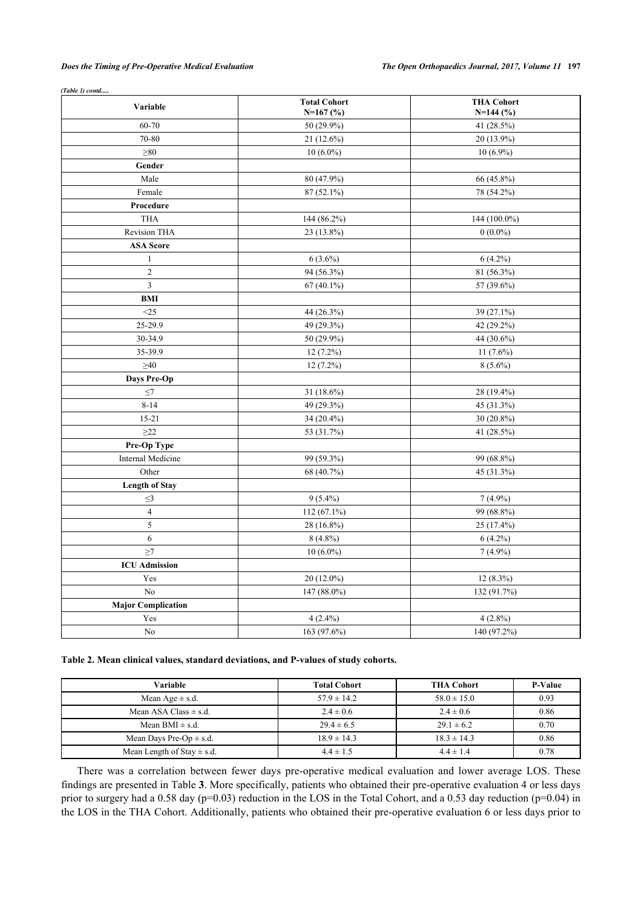#### *Does the Timing of Pre-Operative Medical Evaluation The Open Orthopaedics Journal, 2017, Volume 11* **197**

| Variable                  | <b>Total Cohort</b><br>$N=167$ (%) | <b>THA Cohort</b><br>$N=144$ (%) |  |  |  |  |
|---------------------------|------------------------------------|----------------------------------|--|--|--|--|
| 60-70                     | 50 (29.9%)                         | 41 (28.5%)                       |  |  |  |  |
| 70-80                     | 21 (12.6%)                         | 20 (13.9%)                       |  |  |  |  |
| $\geq 80$                 | $10(6.0\%)$                        | $10(6.9\%)$                      |  |  |  |  |
| Gender                    |                                    |                                  |  |  |  |  |
| Male                      | 80 (47.9%)                         | 66 (45.8%)                       |  |  |  |  |
| Female                    | $87(52.1\%)$                       | 78 (54.2%)                       |  |  |  |  |
| Procedure                 |                                    |                                  |  |  |  |  |
| <b>THA</b>                | 144 (86.2%)                        | 144 (100.0%)                     |  |  |  |  |
| <b>Revision THA</b>       | 23 (13.8%)                         | $0(0.0\%)$                       |  |  |  |  |
| <b>ASA Score</b>          |                                    |                                  |  |  |  |  |
| $\mathbf{1}$              | $6(3.6\%)$                         | $6(4.2\%)$                       |  |  |  |  |
| $\overline{2}$            | 94 (56.3%)                         | 81 (56.3%)                       |  |  |  |  |
| $\overline{3}$            | $67(40.1\%)$                       | 57 (39.6%)                       |  |  |  |  |
| <b>BMI</b>                |                                    |                                  |  |  |  |  |
| <25                       | 44 (26.3%)                         | 39 (27.1%)                       |  |  |  |  |
| 25-29.9                   | 49 (29.3%)                         | 42 (29.2%)                       |  |  |  |  |
| 30-34.9                   | 50 (29.9%)                         | 44 (30.6%)                       |  |  |  |  |
| 35-39.9                   | $12(7.2\%)$                        | $11(7.6\%)$                      |  |  |  |  |
| $\geq 40$                 | $12(7.2\%)$                        | $8(5.6\%)$                       |  |  |  |  |
| <b>Days Pre-Op</b>        |                                    |                                  |  |  |  |  |
| $\leq$ 7                  | 31 (18.6%)                         | 28 (19.4%)                       |  |  |  |  |
| $8 - 14$                  | 49 (29.3%)                         | 45 (31.3%)                       |  |  |  |  |
| $15 - 21$                 | 34 (20.4%)                         | 30 (20.8%)                       |  |  |  |  |
| $\geq$ 22                 | 53 (31.7%)                         | 41 (28.5%)                       |  |  |  |  |
| Pre-Op Type               |                                    |                                  |  |  |  |  |
| <b>Internal Medicine</b>  | 99 (59.3%)                         | 99 (68.8%)                       |  |  |  |  |
| Other                     | 68 (40.7%)                         | 45 (31.3%)                       |  |  |  |  |
| <b>Length of Stay</b>     |                                    |                                  |  |  |  |  |
| $\leq$ 3                  | $9(5.4\%)$                         | $7(4.9\%)$                       |  |  |  |  |
| $\overline{4}$            | $112(67.1\%)$                      | 99 (68.8%)                       |  |  |  |  |
| 5                         | 28 (16.8%)                         | 25 (17.4%)                       |  |  |  |  |
| 6                         | $8(4.8\%)$                         | $6(4.2\%)$                       |  |  |  |  |
| $\geq$ 7                  | $10(6.0\%)$                        | $7(4.9\%)$                       |  |  |  |  |
| <b>ICU</b> Admission      |                                    |                                  |  |  |  |  |
| Yes                       | 20 (12.0%)                         | $12(8.3\%)$                      |  |  |  |  |
| No                        | 147 (88.0%)                        | 132 (91.7%)                      |  |  |  |  |
| <b>Major Complication</b> |                                    |                                  |  |  |  |  |
| Yes                       | $4(2.4\%)$                         | $4(2.8\%)$                       |  |  |  |  |
| No                        | 163 (97.6%)                        | 140 (97.2%)                      |  |  |  |  |

*(Table 1) contd.....*

<span id="page-2-0"></span>**Table 2. Mean clinical values, standard deviations, and P-values of study cohorts.**

| Variable                       | <b>Total Cohort</b> | <b>THA Cohort</b> | <b>P-Value</b> |
|--------------------------------|---------------------|-------------------|----------------|
| Mean Age $\pm$ s.d.            | $57.9 \pm 14.2$     | $58.0 \pm 15.0$   | 0.93           |
| Mean ASA Class $\pm$ s.d.      | $2.4 \pm 0.6$       | $2.4 \pm 0.6$     | 0.86           |
| Mean BMI $\pm$ s.d.            | $29.4 \pm 6.5$      | $29.1 \pm 6.2$    | 0.70           |
| Mean Days Pre-Op $\pm$ s.d.    | $18.9 \pm 14.3$     | $18.3 \pm 14.3$   | 0.86           |
| Mean Length of Stay $\pm$ s.d. | $4.4 \pm 1.5$       | $4.4 \pm 1.4$     | 0.78           |

There was a correlation between fewer days pre-operative medical evaluation and lower average LOS. These findings are presented in Table **[3](#page-3-0)**. More specifically, patients who obtained their pre-operative evaluation 4 or less days prior to surgery had a 0.58 day ( $p=0.03$ ) reduction in the LOS in the Total Cohort, and a 0.53 day reduction ( $p=0.04$ ) in the LOS in the THA Cohort. Additionally, patients who obtained their pre-operative evaluation 6 or less days prior to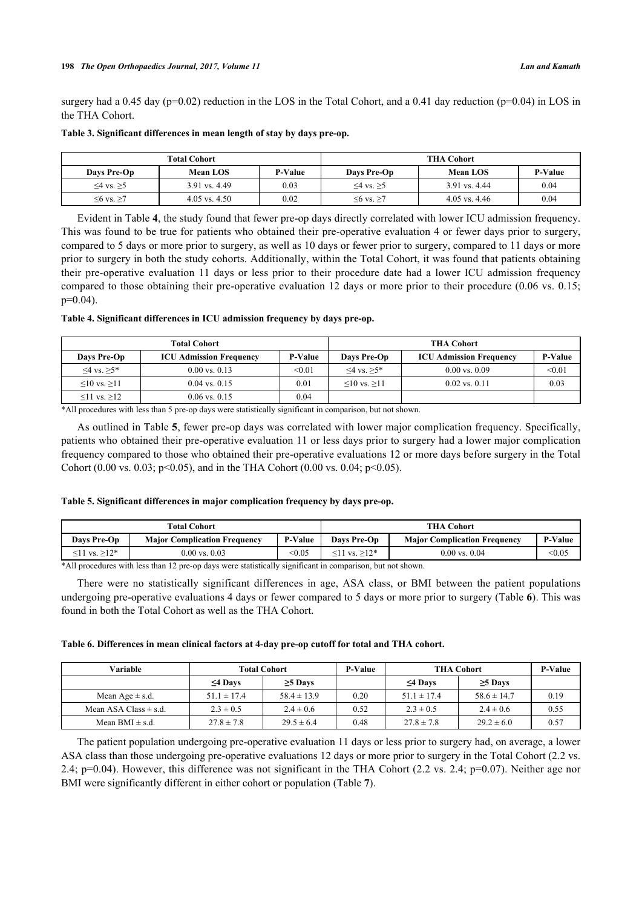surgery had a 0.45 day ( $p=0.02$ ) reduction in the LOS in the Total Cohort, and a 0.41 day reduction ( $p=0.04$ ) in LOS in the THA Cohort.

|                   | <b>Total Cohort</b> |                | <b>THA Cohort</b> |                   |         |  |  |
|-------------------|---------------------|----------------|-------------------|-------------------|---------|--|--|
| Days Pre-Op       | Mean LOS            | <b>P-Value</b> | Days Pre-Op       | <b>Mean LOS</b>   | P-Value |  |  |
| $\leq 4$ vs. $>5$ | 3.91 vs. 4.49       | 0.03           | $≤4$ vs. $≥5$     | 3.91 vs. 4.44     | 0.04    |  |  |
| $56$ vs. $>7$     | $4.05$ vs. $4.50$   | 0.02           | $≤6$ vs. $≥7$     | $4.05$ vs. $4.46$ | 0.04    |  |  |

#### <span id="page-3-0"></span>**Table 3. Significant differences in mean length of stay by days pre-op.**

Evident in Table **[4](#page-3-1)**, the study found that fewer pre-op days directly correlated with lower ICU admission frequency. This was found to be true for patients who obtained their pre-operative evaluation 4 or fewer days prior to surgery, compared to 5 days or more prior to surgery, as well as 10 days or fewer prior to surgery, compared to 11 days or more prior to surgery in both the study cohorts. Additionally, within the Total Cohort, it was found that patients obtaining their pre-operative evaluation 11 days or less prior to their procedure date had a lower ICU admission frequency compared to those obtaining their pre-operative evaluation 12 days or more prior to their procedure (0.06 vs. 0.15; p=0.04).

#### <span id="page-3-1"></span>**Table 4. Significant differences in ICU admission frequency by days pre-op.**

|                         | <b>Total Cohort</b>            | <b>THA Cohort</b> |                         |                                |                |  |
|-------------------------|--------------------------------|-------------------|-------------------------|--------------------------------|----------------|--|
| Days Pre-Op             | <b>ICU Admission Frequency</b> | <b>P-Value</b>    | Days Pre-Op             | <b>ICU Admission Frequency</b> | <b>P-Value</b> |  |
| $\leq 4$ vs. $>5$ *     | $0.00 \text{ vs. } 0.13$       | < 0.01            | $\leq 4$ vs. $>5$ *     | $0.00$ vs. $0.09$              | < 0.01         |  |
| $\leq 10$ vs. $\geq 11$ | $0.04$ vs. $0.15$              | 0.01              | $\leq 10$ vs. $\geq 11$ | $0.02$ vs. $0.11$              | 0.03           |  |
| $\leq$ 11 vs. $\geq$ 12 | $0.06$ vs. $0.15$              | 0.04              |                         |                                |                |  |

\*All procedures with less than 5 pre-op days were statistically significant in comparison, but not shown.

As outlined in Table **[5](#page-3-2)**, fewer pre-op days was correlated with lower major complication frequency. Specifically, patients who obtained their pre-operative evaluation 11 or less days prior to surgery had a lower major complication frequency compared to those who obtained their pre-operative evaluations 12 or more days before surgery in the Total Cohort (0.00 vs. 0.03; p<0.05), and in the THA Cohort (0.00 vs. 0.04; p<0.05).

#### <span id="page-3-2"></span>**Table 5. Significant differences in major complication frequency by days pre-op.**

|                          | <b>Total Cohort</b>                 | <b>THA Cohort</b> |                      |                                     |                |
|--------------------------|-------------------------------------|-------------------|----------------------|-------------------------------------|----------------|
| Davs Pre-Op              | <b>Maior Complication Frequency</b> | P-Value           | Davs Pre-Op          | <b>Maior Complication Frequency</b> | <b>P-Value</b> |
| $\leq$ 11 vs. $\geq$ 12* | $0.00$ vs. $0.03$                   | < 0.05            | $\leq$ 11 vs. $>12*$ | $0.00$ vs. $0.04$                   | $<$ 0.05       |

\*All procedures with less than 12 pre-op days were statistically significant in comparison, but not shown.

There were no statistically significant differences in age, ASA class, or BMI between the patient populations undergoing pre-operative evaluations 4 days or fewer compared to 5 days or more prior to surgery (Table **[6](#page-3-3)**). This was found in both the Total Cohort as well as the THA Cohort.

#### <span id="page-3-3"></span>**Table 6. Differences in mean clinical factors at 4-day pre-op cutoff for total and THA cohort.**

| Variable                  | <b>Total Cohort</b> |                 | <b>P-Value</b> | <b>THA Cohort</b> | P-Value         |      |
|---------------------------|---------------------|-----------------|----------------|-------------------|-----------------|------|
|                           | $\leq$ 4 Days       | $\geq$ 5 Days   |                | $\leq$ 4 Days     | $\geq$ 5 Days   |      |
| Mean Age $\pm$ s.d.       | $51.1 \pm 17.4$     | $58.4 \pm 13.9$ | 0.20           | $51.1 \pm 17.4$   | $58.6 \pm 14.7$ | 0.19 |
| Mean ASA Class $\pm$ s.d. | $2.3 \pm 0.5$       | $2.4 \pm 0.6$   | 0.52           | $2.3 \pm 0.5$     | $2.4 \pm 0.6$   | 0.55 |
| Mean BMI $\pm$ s.d.       | $27.8 \pm 7.8$      | $29.5 \pm 6.4$  | 0.48           | $27.8 \pm 7.8$    | $29.2 \pm 6.0$  | 0.57 |

The patient population undergoing pre-operative evaluation 11 days or less prior to surgery had, on average, a lower ASA class than those undergoing pre-operative evaluations 12 days or more prior to surgery in the Total Cohort (2.2 vs. 2.4; p=0.04). However, this difference was not significant in the THA Cohort (2.2 vs. 2.4; p=0.07). Neither age nor BMI were significantly different in either cohort or population (Table **[7](#page-4-0)**).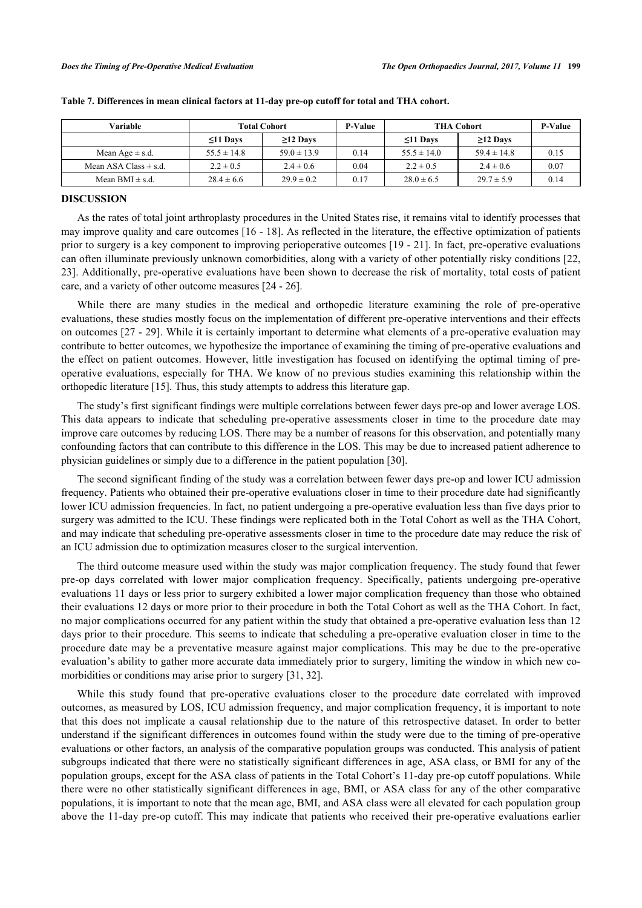| Variable                  |                 | <b>Total Cohort</b> | <b>P-Value</b> | <b>THA Cohort</b> | P-Value         |      |
|---------------------------|-----------------|---------------------|----------------|-------------------|-----------------|------|
|                           | $\leq$ 11 Days  | $\geq$ 12 Days      |                | $\leq$ 11 Days    | $\geq$ 12 Days  |      |
| Mean Age $\pm$ s.d.       | $55.5 \pm 14.8$ | $59.0 \pm 13.9$     | 0.14           | $55.5 \pm 14.0$   | $59.4 \pm 14.8$ | 0.15 |
| Mean ASA Class $\pm$ s.d. | $2.2 \pm 0.5$   | $2.4 \pm 0.6$       | 0.04           | $2.2 \pm 0.5$     | $2.4 \pm 0.6$   | 0.07 |
| Mean BMI $\pm$ s.d.       | $28.4 \pm 6.6$  | $29.9 \pm 0.2$      | 0.17           | $28.0 \pm 6.5$    | $29.7 \pm 5.9$  | 0.14 |

<span id="page-4-0"></span>

|  | Table 7. Differences in mean clinical factors at 11-day pre-op cutoff for total and THA cohort. |  |  |  |  |  |  |
|--|-------------------------------------------------------------------------------------------------|--|--|--|--|--|--|
|  |                                                                                                 |  |  |  |  |  |  |

## **DISCUSSION**

As the rates of total joint arthroplasty procedures in the United States rise, it remains vital to identify processes that may improve quality and care outcomes [[16](#page-6-6) - [18](#page-6-7)]. As reflected in the literature, the effective optimization of patients prior to surgery is a key component to improving perioperative outcomes [\[19](#page-6-8) - [21\]](#page-6-9). In fact, pre-operative evaluations can often illuminate previously unknown comorbidities, along with a variety of other potentially risky conditions [[22](#page-6-10), [23\]](#page-6-11). Additionally, pre-operative evaluations have been shown to decrease the risk of mortality, total costs of patient care, and a variety of other outcome measures [\[24](#page-6-12) - [26\]](#page-6-13).

While there are many studies in the medical and orthopedic literature examining the role of pre-operative evaluations, these studies mostly focus on the implementation of different pre-operative interventions and their effects on outcomes [\[27](#page-7-0) - [29](#page-7-1)]. While it is certainly important to determine what elements of a pre-operative evaluation may contribute to better outcomes, we hypothesize the importance of examining the timing of pre-operative evaluations and the effect on patient outcomes. However, little investigation has focused on identifying the optimal timing of preoperative evaluations, especially for THA. We know of no previous studies examining this relationship within the orthopedic literature [[15\]](#page-6-5). Thus, this study attempts to address this literature gap.

The study's first significant findings were multiple correlations between fewer days pre-op and lower average LOS. This data appears to indicate that scheduling pre-operative assessments closer in time to the procedure date may improve care outcomes by reducing LOS. There may be a number of reasons for this observation, and potentially many confounding factors that can contribute to this difference in the LOS. This may be due to increased patient adherence to physician guidelines or simply due to a difference in the patient population [\[30](#page-7-2)].

The second significant finding of the study was a correlation between fewer days pre-op and lower ICU admission frequency. Patients who obtained their pre-operative evaluations closer in time to their procedure date had significantly lower ICU admission frequencies. In fact, no patient undergoing a pre-operative evaluation less than five days prior to surgery was admitted to the ICU. These findings were replicated both in the Total Cohort as well as the THA Cohort, and may indicate that scheduling pre-operative assessments closer in time to the procedure date may reduce the risk of an ICU admission due to optimization measures closer to the surgical intervention.

The third outcome measure used within the study was major complication frequency. The study found that fewer pre-op days correlated with lower major complication frequency. Specifically, patients undergoing pre-operative evaluations 11 days or less prior to surgery exhibited a lower major complication frequency than those who obtained their evaluations 12 days or more prior to their procedure in both the Total Cohort as well as the THA Cohort. In fact, no major complications occurred for any patient within the study that obtained a pre-operative evaluation less than 12 days prior to their procedure. This seems to indicate that scheduling a pre-operative evaluation closer in time to the procedure date may be a preventative measure against major complications. This may be due to the pre-operative evaluation's ability to gather more accurate data immediately prior to surgery, limiting the window in which new co-morbidities or conditions may arise prior to surgery [[31,](#page-7-3) [32\]](#page-7-4).

While this study found that pre-operative evaluations closer to the procedure date correlated with improved outcomes, as measured by LOS, ICU admission frequency, and major complication frequency, it is important to note that this does not implicate a causal relationship due to the nature of this retrospective dataset. In order to better understand if the significant differences in outcomes found within the study were due to the timing of pre-operative evaluations or other factors, an analysis of the comparative population groups was conducted. This analysis of patient subgroups indicated that there were no statistically significant differences in age, ASA class, or BMI for any of the population groups, except for the ASA class of patients in the Total Cohort's 11-day pre-op cutoff populations. While there were no other statistically significant differences in age, BMI, or ASA class for any of the other comparative populations, it is important to note that the mean age, BMI, and ASA class were all elevated for each population group above the 11-day pre-op cutoff. This may indicate that patients who received their pre-operative evaluations earlier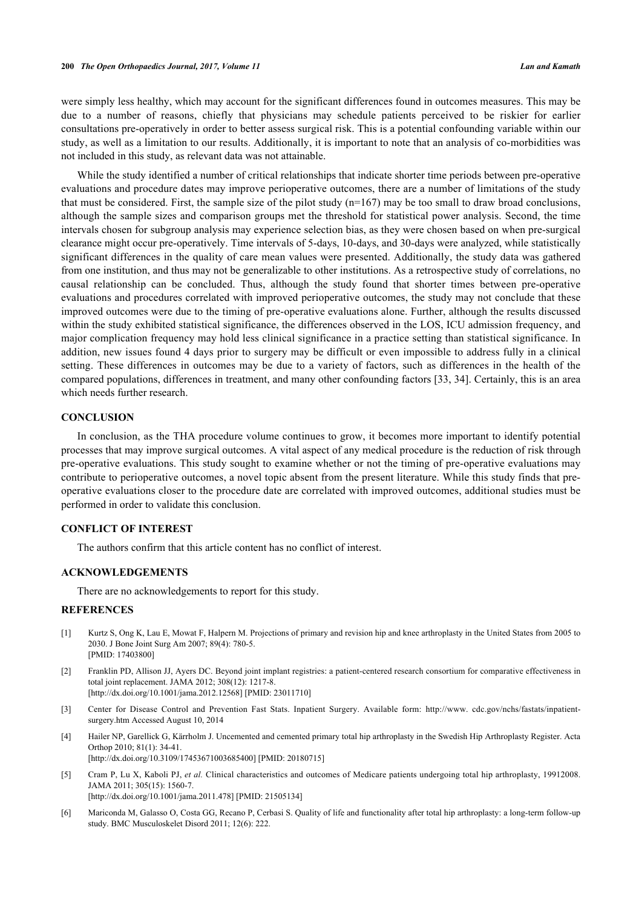were simply less healthy, which may account for the significant differences found in outcomes measures. This may be due to a number of reasons, chiefly that physicians may schedule patients perceived to be riskier for earlier consultations pre-operatively in order to better assess surgical risk. This is a potential confounding variable within our study, as well as a limitation to our results. Additionally, it is important to note that an analysis of co-morbidities was not included in this study, as relevant data was not attainable.

While the study identified a number of critical relationships that indicate shorter time periods between pre-operative evaluations and procedure dates may improve perioperative outcomes, there are a number of limitations of the study that must be considered. First, the sample size of the pilot study  $(n=167)$  may be too small to draw broad conclusions, although the sample sizes and comparison groups met the threshold for statistical power analysis. Second, the time intervals chosen for subgroup analysis may experience selection bias, as they were chosen based on when pre-surgical clearance might occur pre-operatively. Time intervals of 5-days, 10-days, and 30-days were analyzed, while statistically significant differences in the quality of care mean values were presented. Additionally, the study data was gathered from one institution, and thus may not be generalizable to other institutions. As a retrospective study of correlations, no causal relationship can be concluded. Thus, although the study found that shorter times between pre-operative evaluations and procedures correlated with improved perioperative outcomes, the study may not conclude that these improved outcomes were due to the timing of pre-operative evaluations alone. Further, although the results discussed within the study exhibited statistical significance, the differences observed in the LOS, ICU admission frequency, and major complication frequency may hold less clinical significance in a practice setting than statistical significance. In addition, new issues found 4 days prior to surgery may be difficult or even impossible to address fully in a clinical setting. These differences in outcomes may be due to a variety of factors, such as differences in the health of the compared populations, differences in treatment, and many other confounding factors [[33](#page-7-5), [34](#page-7-6)]. Certainly, this is an area which needs further research.

#### **CONCLUSION**

In conclusion, as the THA procedure volume continues to grow, it becomes more important to identify potential processes that may improve surgical outcomes. A vital aspect of any medical procedure is the reduction of risk through pre-operative evaluations. This study sought to examine whether or not the timing of pre-operative evaluations may contribute to perioperative outcomes, a novel topic absent from the present literature. While this study finds that preoperative evaluations closer to the procedure date are correlated with improved outcomes, additional studies must be performed in order to validate this conclusion.

## **CONFLICT OF INTEREST**

The authors confirm that this article content has no conflict of interest.

# **ACKNOWLEDGEMENTS**

There are no acknowledgements to report for this study.

## **REFERENCES**

- <span id="page-5-0"></span>[1] Kurtz S, Ong K, Lau E, Mowat F, Halpern M. Projections of primary and revision hip and knee arthroplasty in the United States from 2005 to 2030. J Bone Joint Surg Am 2007; 89(4): 780-5. [PMID: [17403800\]](http://www.ncbi.nlm.nih.gov/pubmed/17403800)
- [2] Franklin PD, Allison JJ, Ayers DC. Beyond joint implant registries: a patient-centered research consortium for comparative effectiveness in total joint replacement. JAMA 2012; 308(12): 1217-8. [\[http://dx.doi.org/10.1001/jama.2012.12568](http://dx.doi.org/10.1001/jama.2012.12568)] [PMID: [23011710\]](http://www.ncbi.nlm.nih.gov/pubmed/23011710)
- <span id="page-5-1"></span>[3] Center for Disease Control and Prevention Fast Stats. Inpatient Surgery. Available form: [http://www. cdc.gov/nchs/fastats/inpatient](http://www.cdc.gov/nchs/fastats/inpatient-surgery.htm)[surgery.htm](http://www.cdc.gov/nchs/fastats/inpatient-surgery.htm) Accessed August 10, 2014
- <span id="page-5-2"></span>[4] Hailer NP, Garellick G, Kärrholm J. Uncemented and cemented primary total hip arthroplasty in the Swedish Hip Arthroplasty Register. Acta Orthop 2010; 81(1): 34-41.
- [\[http://dx.doi.org/10.3109/17453671003685400\]](http://dx.doi.org/10.3109/17453671003685400) [PMID: [20180715](http://www.ncbi.nlm.nih.gov/pubmed/20180715)]
- <span id="page-5-3"></span>[5] Cram P, Lu X, Kaboli PJ, *et al.* Clinical characteristics and outcomes of Medicare patients undergoing total hip arthroplasty, 19912008. JAMA 2011; 305(15): 1560-7. [\[http://dx.doi.org/10.1001/jama.2011.478](http://dx.doi.org/10.1001/jama.2011.478)] [PMID: [21505134\]](http://www.ncbi.nlm.nih.gov/pubmed/21505134)
- <span id="page-5-4"></span>[6] Mariconda M, Galasso O, Costa GG, Recano P, Cerbasi S. Quality of life and functionality after total hip arthroplasty: a long-term follow-up study. BMC Musculoskelet Disord 2011; 12(6): 222.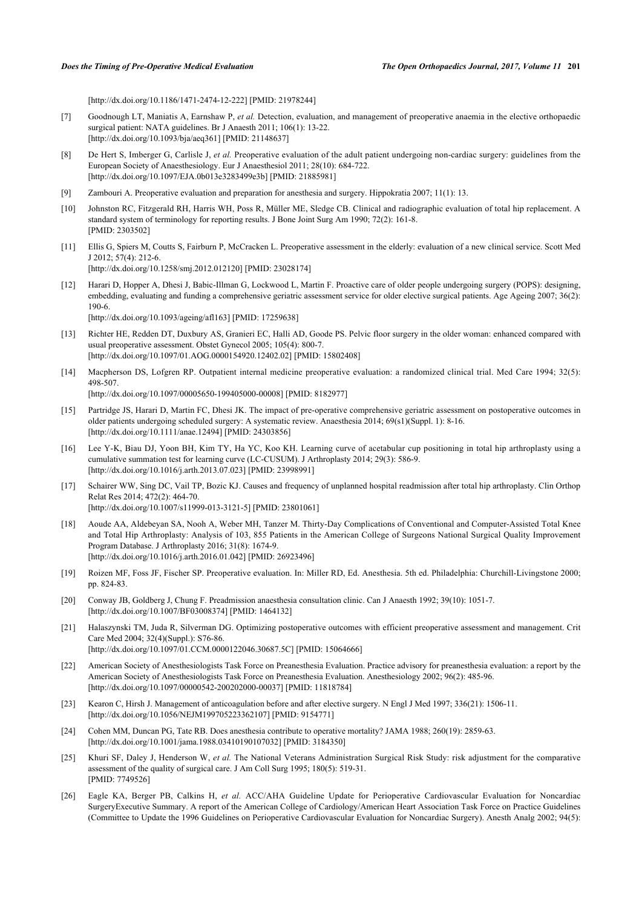[\[http://dx.doi.org/10.1186/1471-2474-12-222\]](http://dx.doi.org/10.1186/1471-2474-12-222) [PMID: [21978244](http://www.ncbi.nlm.nih.gov/pubmed/21978244)]

- <span id="page-6-0"></span>[7] Goodnough LT, Maniatis A, Earnshaw P, *et al.* Detection, evaluation, and management of preoperative anaemia in the elective orthopaedic surgical patient: NATA guidelines. Br J Anaesth 2011; 106(1): 13-22. [\[http://dx.doi.org/10.1093/bja/aeq361\]](http://dx.doi.org/10.1093/bja/aeq361) [PMID: [21148637](http://www.ncbi.nlm.nih.gov/pubmed/21148637)]
- [8] De Hert S, Imberger G, Carlisle J, *et al.* Preoperative evaluation of the adult patient undergoing non-cardiac surgery: guidelines from the European Society of Anaesthesiology. Eur J Anaesthesiol 2011; 28(10): 684-722. [\[http://dx.doi.org/10.1097/EJA.0b013e3283499e3b\]](http://dx.doi.org/10.1097/EJA.0b013e3283499e3b) [PMID: [21885981](http://www.ncbi.nlm.nih.gov/pubmed/21885981)]
- <span id="page-6-1"></span>[9] Zambouri A. Preoperative evaluation and preparation for anesthesia and surgery. Hippokratia 2007; 11(1): 13.
- <span id="page-6-2"></span>[10] Johnston RC, Fitzgerald RH, Harris WH, Poss R, Müller ME, Sledge CB. Clinical and radiographic evaluation of total hip replacement. A standard system of terminology for reporting results. J Bone Joint Surg Am 1990; 72(2): 161-8. [PMID: [2303502\]](http://www.ncbi.nlm.nih.gov/pubmed/2303502)
- <span id="page-6-3"></span>[11] Ellis G, Spiers M, Coutts S, Fairburn P, McCracken L. Preoperative assessment in the elderly: evaluation of a new clinical service. Scott Med J 2012; 57(4): 212-6.

[\[http://dx.doi.org/10.1258/smj.2012.012120](http://dx.doi.org/10.1258/smj.2012.012120)] [PMID: [23028174\]](http://www.ncbi.nlm.nih.gov/pubmed/23028174)

- [12] Harari D, Hopper A, Dhesi J, Babic-Illman G, Lockwood L, Martin F. Proactive care of older people undergoing surgery (POPS): designing, embedding, evaluating and funding a comprehensive geriatric assessment service for older elective surgical patients. Age Ageing 2007; 36(2): 190-6. [\[http://dx.doi.org/10.1093/ageing/afl163\]](http://dx.doi.org/10.1093/ageing/afl163) [PMID: [17259638](http://www.ncbi.nlm.nih.gov/pubmed/17259638)]
- [13] Richter HE, Redden DT, Duxbury AS, Granieri EC, Halli AD, Goode PS. Pelvic floor surgery in the older woman: enhanced compared with usual preoperative assessment. Obstet Gynecol 2005; 105(4): 800-7. [\[http://dx.doi.org/10.1097/01.AOG.0000154920.12402.02](http://dx.doi.org/10.1097/01.AOG.0000154920.12402.02)] [PMID: [15802408\]](http://www.ncbi.nlm.nih.gov/pubmed/15802408)
- <span id="page-6-4"></span>[14] Macpherson DS, Lofgren RP. Outpatient internal medicine preoperative evaluation: a randomized clinical trial. Med Care 1994; 32(5): 498-507. [\[http://dx.doi.org/10.1097/00005650-199405000-00008](http://dx.doi.org/10.1097/00005650-199405000-00008)] [PMID: [8182977\]](http://www.ncbi.nlm.nih.gov/pubmed/8182977)
- <span id="page-6-5"></span>[15] Partridge JS, Harari D, Martin FC, Dhesi JK. The impact of pre-operative comprehensive geriatric assessment on postoperative outcomes in older patients undergoing scheduled surgery: A systematic review. Anaesthesia 2014; 69(s1)(Suppl. 1): 8-16. [\[http://dx.doi.org/10.1111/anae.12494](http://dx.doi.org/10.1111/anae.12494)] [PMID: [24303856](http://www.ncbi.nlm.nih.gov/pubmed/24303856)]
- <span id="page-6-6"></span>[16] Lee Y-K, Biau DJ, Yoon BH, Kim TY, Ha YC, Koo KH. Learning curve of acetabular cup positioning in total hip arthroplasty using a cumulative summation test for learning curve (LC-CUSUM). J Arthroplasty 2014; 29(3): 586-9. [\[http://dx.doi.org/10.1016/j.arth.2013.07.023](http://dx.doi.org/10.1016/j.arth.2013.07.023)] [PMID: [23998991](http://www.ncbi.nlm.nih.gov/pubmed/23998991)]
- [17] Schairer WW, Sing DC, Vail TP, Bozic KJ. Causes and frequency of unplanned hospital readmission after total hip arthroplasty. Clin Orthop Relat Res 2014; 472(2): 464-70. [\[http://dx.doi.org/10.1007/s11999-013-3121-5\]](http://dx.doi.org/10.1007/s11999-013-3121-5) [PMID: [23801061](http://www.ncbi.nlm.nih.gov/pubmed/23801061)]
- <span id="page-6-7"></span>[18] Aoude AA, Aldebeyan SA, Nooh A, Weber MH, Tanzer M. Thirty-Day Complications of Conventional and Computer-Assisted Total Knee and Total Hip Arthroplasty: Analysis of 103, 855 Patients in the American College of Surgeons National Surgical Quality Improvement Program Database. J Arthroplasty 2016; 31(8): 1674-9. [\[http://dx.doi.org/10.1016/j.arth.2016.01.042](http://dx.doi.org/10.1016/j.arth.2016.01.042)] [PMID: [26923496](http://www.ncbi.nlm.nih.gov/pubmed/26923496)]
- <span id="page-6-8"></span>[19] Roizen MF, Foss JF, Fischer SP. Preoperative evaluation. In: Miller RD, Ed. Anesthesia. 5th ed. Philadelphia: Churchill-Livingstone 2000; pp. 824-83.
- [20] Conway JB, Goldberg J, Chung F. Preadmission anaesthesia consultation clinic. Can J Anaesth 1992; 39(10): 1051-7. [\[http://dx.doi.org/10.1007/BF03008374\]](http://dx.doi.org/10.1007/BF03008374) [PMID: [1464132](http://www.ncbi.nlm.nih.gov/pubmed/1464132)]
- <span id="page-6-9"></span>[21] Halaszynski TM, Juda R, Silverman DG. Optimizing postoperative outcomes with efficient preoperative assessment and management. Crit Care Med 2004; 32(4)(Suppl.): S76-86. [\[http://dx.doi.org/10.1097/01.CCM.0000122046.30687.5C\]](http://dx.doi.org/10.1097/01.CCM.0000122046.30687.5C) [PMID: [15064666](http://www.ncbi.nlm.nih.gov/pubmed/15064666)]
- <span id="page-6-10"></span>[22] American Society of Anesthesiologists Task Force on Preanesthesia Evaluation. Practice advisory for preanesthesia evaluation: a report by the American Society of Anesthesiologists Task Force on Preanesthesia Evaluation. Anesthesiology 2002; 96(2): 485-96. [\[http://dx.doi.org/10.1097/00000542-200202000-00037](http://dx.doi.org/10.1097/00000542-200202000-00037)] [PMID: [11818784\]](http://www.ncbi.nlm.nih.gov/pubmed/11818784)
- <span id="page-6-11"></span>[23] Kearon C, Hirsh J. Management of anticoagulation before and after elective surgery. N Engl J Med 1997; 336(21): 1506-11. [\[http://dx.doi.org/10.1056/NEJM199705223362107\]](http://dx.doi.org/10.1056/NEJM199705223362107) [PMID: [9154771](http://www.ncbi.nlm.nih.gov/pubmed/9154771)]
- <span id="page-6-12"></span>[24] Cohen MM, Duncan PG, Tate RB. Does anesthesia contribute to operative mortality? JAMA 1988; 260(19): 2859-63. [\[http://dx.doi.org/10.1001/jama.1988.03410190107032](http://dx.doi.org/10.1001/jama.1988.03410190107032)] [PMID: [3184350\]](http://www.ncbi.nlm.nih.gov/pubmed/3184350)
- [25] Khuri SF, Daley J, Henderson W, *et al.* The National Veterans Administration Surgical Risk Study: risk adjustment for the comparative assessment of the quality of surgical care. J Am Coll Surg 1995; 180(5): 519-31. [PMID: [7749526\]](http://www.ncbi.nlm.nih.gov/pubmed/7749526)
- <span id="page-6-13"></span>[26] Eagle KA, Berger PB, Calkins H, *et al.* ACC/AHA Guideline Update for Perioperative Cardiovascular Evaluation for Noncardiac SurgeryExecutive Summary. A report of the American College of Cardiology/American Heart Association Task Force on Practice Guidelines (Committee to Update the 1996 Guidelines on Perioperative Cardiovascular Evaluation for Noncardiac Surgery). Anesth Analg 2002; 94(5):